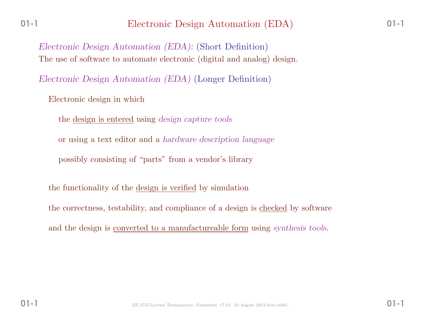*Electronic Design Automation (EDA):* (Short Definition)The use of software to automate electronic (digital and analog) design.

*Electronic Design Automation (EDA)* (Longer Definition)

Electronic design in which

the design is entered using *design capture tools*

or using <sup>a</sup> text editor and <sup>a</sup> *hardware description language*

possibly consisting of "parts" from <sup>a</sup> vendor's library

the functionality of the <u>design is verified</u> by simulation

the correctness, testability, and compliance of a design is <u>checked</u> by software

and the design is converted to <sup>a</sup> manufactureable form using *synthesis tools*.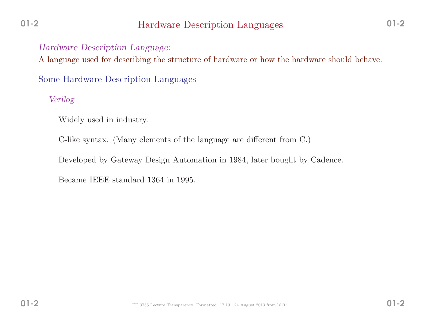# Hardware Description Languages

## *Hardware Description Language:*

<sup>A</sup> language used for describing the structure of hardware or how the hardware should behave.

Some Hardware Description Languages

*Verilog*

Widely used in industry.

C-like syntax. (Many elements of the language are different from C.)

Developed by Gateway Design Automation in 1984, later bought by Cadence.

Became IEEE standard <sup>1364</sup> in 1995.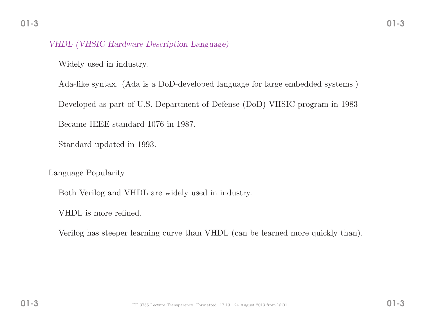#### *VHDL (VHSIC Hardware Description Language)*

Widely used in industry.

Ada-like syntax. (Ada is <sup>a</sup> DoD-developed language for large embedded systems.) Developed as part of U.S. Department of Defense (DoD) VHSIC program in <sup>1983</sup>Became IEEE standard <sup>1076</sup> in 1987.

Standard updated in 1993.

Language Popularity

Both Verilog and VHDL are widely used in industry.

VHDL is more refined.

Verilog has steeper learning curve than VHDL (can be learned more quickly than).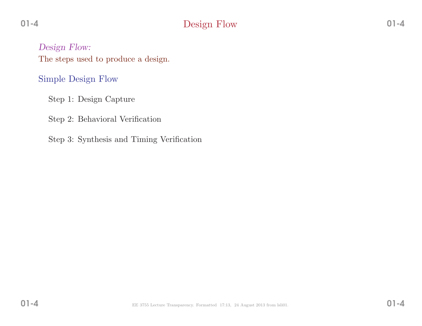# Design Flow

*Design Flow:* The steps used to produce <sup>a</sup> design.

Simple Design Flow

Step 1: Design Capture

Step 2: Behavioral Verification

Step 3: Synthesis and Timing Verification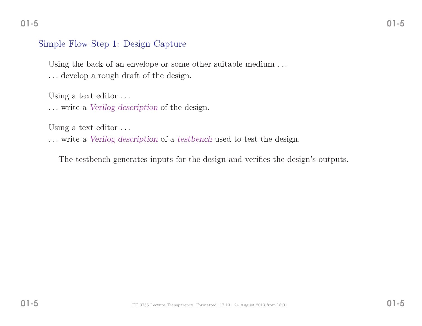#### Simple Flow Step 1: Design Capture

Using the back of an envelope or some other suitable medium ... . . . develop <sup>a</sup> roug<sup>h</sup> draft of the design.

Using a text editor ...

. . . write <sup>a</sup> *Verilog description* of the design.

Using a text editor ...

. . . write <sup>a</sup> *Verilog description* of <sup>a</sup> *testbench* used to test the design.

The testbench generates inputs for the design and verifies the design's outputs.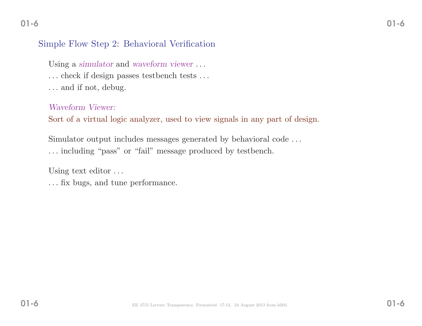# Simple Flow Step 2: Behavioral Verification

Using <sup>a</sup> *simulator* and *waveform viewer* . . .

. . . check if design passes testbench tests . . .

. . . and if not, debug.

*Waveform Viewer:*

Sort of <sup>a</sup> virtual logic analyzer, used to view signals in any part of design.

Simulator output includes messages generated by behavioral code . . .

. . . including "pass" or "fail" message produced by testbench.

Using text editor ...

. . . fix bugs, and tune performance.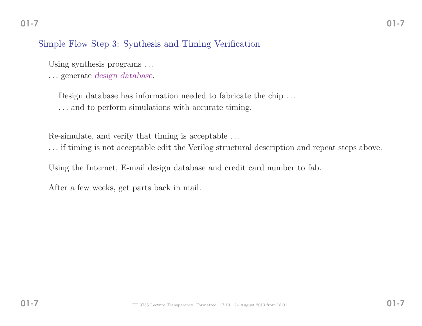## Simple Flow Step 3: Synthesis and Timing Verification

Using synthesis programs ...

. . . generate *design database*.

Design database has information needed to fabricate the chip ... . . . and to perform simulations with accurate timing.

Re-simulate, and verify that timing is acceptable . . .

. . . if timing is not acceptable edit the Verilog structural description and repeat steps above.

Using the Internet, E-mail design database and credit card number to fab.

After <sup>a</sup> few weeks, get parts back in mail.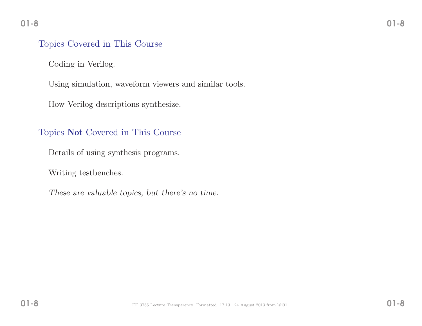#### Topics Covered in This Course

Coding in Verilog.

Using simulation, waveform viewers and similar tools.

How Verilog descriptions synthesize.

# Topics Not Covered in This Course

Details of using synthesis programs.

Writing testbenches.

*These are valuable topics, but there's no time.*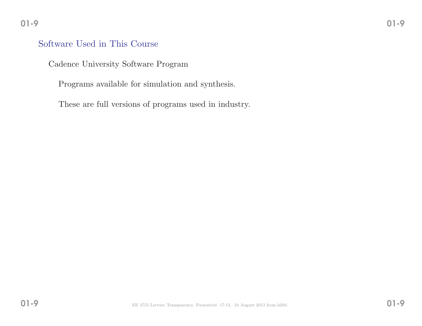#### Software Used in This Course

Cadence University Software Program

Programs available for simulation and synthesis.

These are full versions of programs used in industry.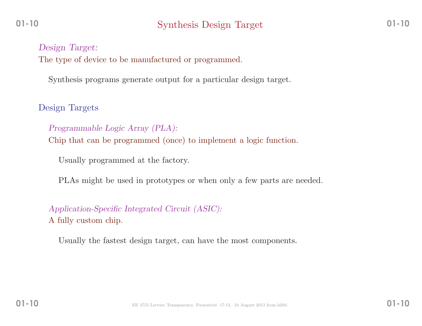*Design Target:* The type of device to be manufactured or programmed.

Synthesis programs generate output for <sup>a</sup> particular design target.

Design Targets

*Programmable Logic Array (PLA):* Chip that can be programmed (once) to implement <sup>a</sup> logic function.

Usually programmed at the factory.

PLAs might be used in prototypes or when only <sup>a</sup> few parts are needed.

*Application-Specific Integrated Circuit (ASIC):* <sup>A</sup> fully custom chip.

Usually the fastest design target, can have the most components.